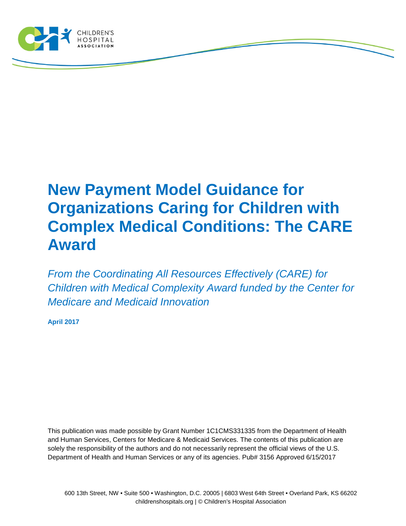

# **New Payment Model Guidance for Organizations Caring for Children with Complex Medical Conditions: The CARE Award**

*From the Coordinating All Resources Effectively (CARE) for Children with Medical Complexity Award funded by the Center for Medicare and Medicaid Innovation*

**April 2017**

This publication was made possible by Grant Number 1C1CMS331335 from the Department of Health and Human Services, Centers for Medicare & Medicaid Services. The contents of this publication are solely the responsibility of the authors and do not necessarily represent the official views of the U.S. Department of Health and Human Services or any of its agencies. Pub# 3156 Approved 6/15/2017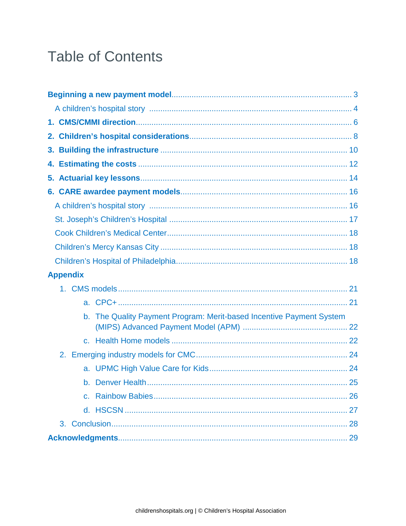## **Table of Contents**

| 4. |  |                 |                                                                   |  |  |
|----|--|-----------------|-------------------------------------------------------------------|--|--|
|    |  |                 |                                                                   |  |  |
|    |  |                 |                                                                   |  |  |
|    |  |                 |                                                                   |  |  |
|    |  |                 |                                                                   |  |  |
|    |  |                 |                                                                   |  |  |
|    |  |                 |                                                                   |  |  |
|    |  |                 |                                                                   |  |  |
|    |  | <b>Appendix</b> |                                                                   |  |  |
|    |  |                 |                                                                   |  |  |
|    |  |                 |                                                                   |  |  |
|    |  | b.              | The Quality Payment Program: Merit-based Incentive Payment System |  |  |
|    |  |                 |                                                                   |  |  |
|    |  |                 |                                                                   |  |  |
|    |  |                 |                                                                   |  |  |
|    |  |                 |                                                                   |  |  |
|    |  |                 |                                                                   |  |  |
|    |  |                 |                                                                   |  |  |
|    |  |                 |                                                                   |  |  |
|    |  |                 |                                                                   |  |  |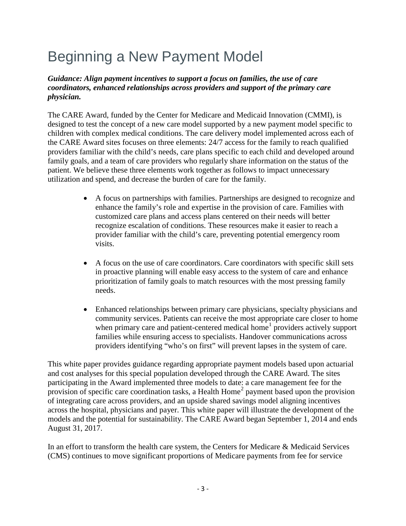# Beginning a New Payment Model

#### *Guidance: Align payment incentives to support a focus on families, the use of care coordinators, enhanced relationships across providers and support of the primary care physician.*

The CARE Award, funded by the Center for Medicare and Medicaid Innovation (CMMI), is designed to test the concept of a new care model supported by a new payment model specific to children with complex medical conditions. The care delivery model implemented across each of the CARE Award sites focuses on three elements: 24/7 access for the family to reach qualified providers familiar with the child's needs, care plans specific to each child and developed around family goals, and a team of care providers who regularly share information on the status of the patient. We believe these three elements work together as follows to impact unnecessary utilization and spend, and decrease the burden of care for the family.

- A focus on partnerships with families. Partnerships are designed to recognize and enhance the family's role and expertise in the provision of care. Families with customized care plans and access plans centered on their needs will better recognize escalation of conditions. These resources make it easier to reach a provider familiar with the child's care, preventing potential emergency room visits.
- A focus on the use of care coordinators. Care coordinators with specific skill sets in proactive planning will enable easy access to the system of care and enhance prioritization of family goals to match resources with the most pressing family needs.
- Enhanced relationships between primary care physicians, specialty physicians and community services. Patients can receive the most appropriate care closer to home when primary care and patient-centered medical home<sup>[1](#page-33-0)</sup> providers actively support families while ensuring access to specialists. Handover communications across providers identifying "who's on first" will prevent lapses in the system of care.

This white paper provides guidance regarding appropriate payment models based upon actuarial and cost analyses for this special population developed through the CARE Award. The sites participating in the Award implemented three models to date: a care management fee for the provision of specific care coordination tasks, a Health Home<sup>[2](#page-33-1)</sup> payment based upon the provision of integrating care across providers, and an upside shared savings model aligning incentives across the hospital, physicians and payer. This white paper will illustrate the development of the models and the potential for sustainability. The CARE Award began September 1, 2014 and ends August 31, 2017.

In an effort to transform the health care system, the Centers for Medicare & Medicaid Services (CMS) continues to move significant proportions of Medicare payments from fee for service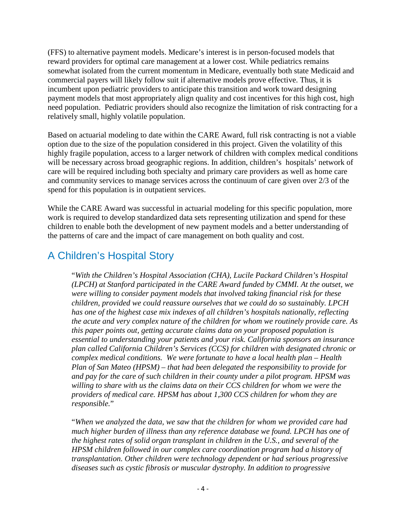(FFS) to alternative payment models. Medicare's interest is in person-focused models that reward providers for optimal care management at a lower cost. While pediatrics remains somewhat isolated from the current momentum in Medicare, eventually both state Medicaid and commercial payers will likely follow suit if alternative models prove effective. Thus, it is incumbent upon pediatric providers to anticipate this transition and work toward designing payment models that most appropriately align quality and cost incentives for this high cost, high need population. Pediatric providers should also recognize the limitation of risk contracting for a relatively small, highly volatile population.

Based on actuarial modeling to date within the CARE Award, full risk contracting is not a viable option due to the size of the population considered in this project. Given the volatility of this highly fragile population, access to a larger network of children with complex medical conditions will be necessary across broad geographic regions. In addition, children's hospitals' network of care will be required including both specialty and primary care providers as well as home care and community services to manage services across the continuum of care given over 2/3 of the spend for this population is in outpatient services.

While the CARE Award was successful in actuarial modeling for this specific population, more work is required to develop standardized data sets representing utilization and spend for these children to enable both the development of new payment models and a better understanding of the patterns of care and the impact of care management on both quality and cost.

### A Children's Hospital Story

"*With the Children's Hospital Association (CHA), Lucile Packard Children's Hospital (LPCH) at Stanford participated in the CARE Award funded by CMMI. At the outset, we were willing to consider payment models that involved taking financial risk for these children, provided we could reassure ourselves that we could do so sustainably. LPCH has one of the highest case mix indexes of all children's hospitals nationally, reflecting the acute and very complex nature of the children for whom we routinely provide care. As this paper points out, getting accurate claims data on your proposed population is essential to understanding your patients and your risk. California sponsors an insurance plan called California Children's Services (CCS) for children with designated chronic or complex medical conditions. We were fortunate to have a local health plan – Health Plan of San Mateo (HPSM) – that had been delegated the responsibility to provide for and pay for the care of such children in their county under a pilot program. HPSM was willing to share with us the claims data on their CCS children for whom we were the providers of medical care. HPSM has about 1,300 CCS children for whom they are responsible.*"

"*When we analyzed the data, we saw that the children for whom we provided care had much higher burden of illness than any reference database we found. LPCH has one of the highest rates of solid organ transplant in children in the U.S., and several of the HPSM children followed in our complex care coordination program had a history of transplantation. Other children were technology dependent or had serious progressive diseases such as cystic fibrosis or muscular dystrophy. In addition to progressive*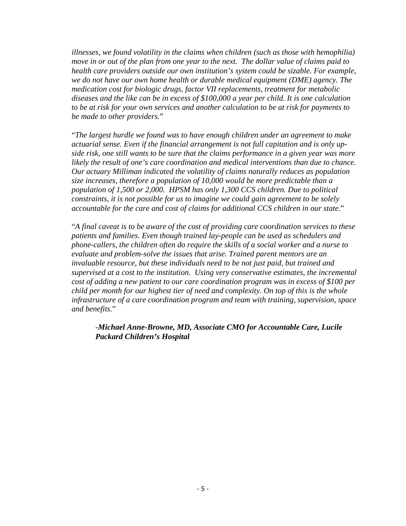*illnesses, we found volatility in the claims when children (such as those with hemophilia) move in or out of the plan from one year to the next. The dollar value of claims paid to health care providers outside our own institution's system could be sizable. For example, we do not have our own home health or durable medical equipment (DME) agency. The medication cost for biologic drugs, factor VII replacements, treatment for metabolic diseases and the like can be in excess of \$100,000 a year per child. It is one calculation to be at risk for your own services and another calculation to be at risk for payments to be made to other providers.*"

"*The largest hurdle we found was to have enough children under an agreement to make actuarial sense. Even if the financial arrangement is not full capitation and is only upside risk, one still wants to be sure that the claims performance in a given year was more likely the result of one's care coordination and medical interventions than due to chance. Our actuary Milliman indicated the volatility of claims naturally reduces as population size increases, therefore a population of 10,000 would be more predictable than a population of 1,500 or 2,000. HPSM has only 1,300 CCS children. Due to political constraints, it is not possible for us to imagine we could gain agreement to be solely accountable for the care and cost of claims for additional CCS children in our state.*"

"*A final caveat is to be aware of the cost of providing care coordination services to these patients and families. Even though trained lay-people can be used as schedulers and phone-callers, the children often do require the skills of a social worker and a nurse to evaluate and problem-solve the issues that arise. Trained parent mentors are an invaluable resource, but these individuals need to be not just paid, but trained and supervised at a cost to the institution. Using very conservative estimates, the incremental cost of adding a new patient to our care coordination program was in excess of \$100 per child per month for our highest tier of need and complexity. On top of this is the whole infrastructure of a care coordination program and team with training, supervision, space and benefits.*"

-*Michael Anne-Browne, MD, Associate CMO for Accountable Care, Lucile Packard Children's Hospital*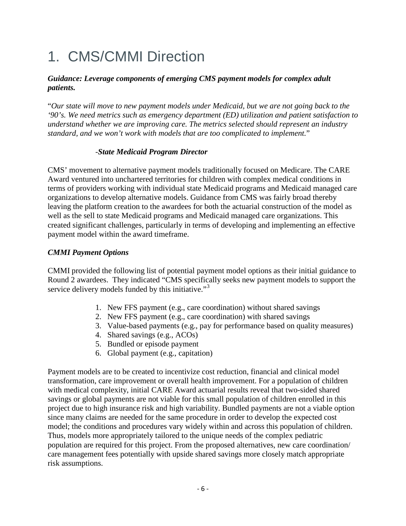# 1. CMS/CMMI Direction

#### *Guidance: Leverage components of emerging CMS payment models for complex adult patients.*

"*Our state will move to new payment models under Medicaid, but we are not going back to the '90's. We need metrics such as emergency department (ED) utilization and patient satisfaction to understand whether we are improving care. The metrics selected should represent an industry standard, and we won't work with models that are too complicated to implement.*"

#### -*State Medicaid Program Director*

CMS' movement to alternative payment models traditionally focused on Medicare. The CARE Award ventured into unchartered territories for children with complex medical conditions in terms of providers working with individual state Medicaid programs and Medicaid managed care organizations to develop alternative models. Guidance from CMS was fairly broad thereby leaving the platform creation to the awardees for both the actuarial construction of the model as well as the sell to state Medicaid programs and Medicaid managed care organizations. This created significant challenges, particularly in terms of developing and implementing an effective payment model within the award timeframe.

#### *CMMI Payment Options*

CMMI provided the following list of potential payment model options as their initial guidance to Round 2 awardees. They indicated "CMS specifically seeks new payment models to support the service delivery models funded by this initiative."<sup>[3](#page-33-2)</sup>

- 1. New FFS payment (e.g., care coordination) without shared savings
- 2. New FFS payment (e.g., care coordination) with shared savings
- 3. Value-based payments (e.g., pay for performance based on quality measures)
- 4. Shared savings (e.g., ACOs)
- 5. Bundled or episode payment
- 6. Global payment (e.g., capitation)

Payment models are to be created to incentivize cost reduction, financial and clinical model transformation, care improvement or overall health improvement. For a population of children with medical complexity, initial CARE Award actuarial results reveal that two-sided shared savings or global payments are not viable for this small population of children enrolled in this project due to high insurance risk and high variability. Bundled payments are not a viable option since many claims are needed for the same procedure in order to develop the expected cost model; the conditions and procedures vary widely within and across this population of children. Thus, models more appropriately tailored to the unique needs of the complex pediatric population are required for this project. From the proposed alternatives, new care coordination/ care management fees potentially with upside shared savings more closely match appropriate risk assumptions.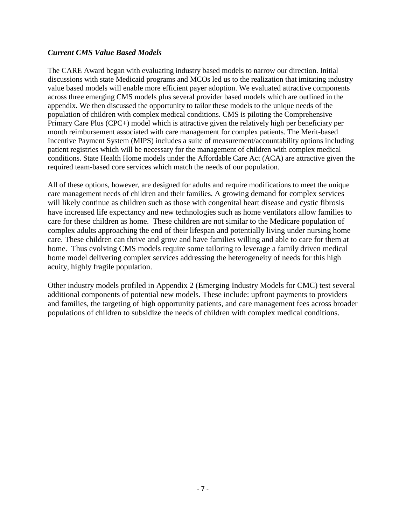#### *Current CMS Value Based Models*

The CARE Award began with evaluating industry based models to narrow our direction. Initial discussions with state Medicaid programs and MCOs led us to the realization that imitating industry value based models will enable more efficient payer adoption. We evaluated attractive components across three emerging CMS models plus several provider based models which are outlined in the appendix. We then discussed the opportunity to tailor these models to the unique needs of the population of children with complex medical conditions. CMS is piloting the Comprehensive Primary Care Plus (CPC+) model which is attractive given the relatively high per beneficiary per month reimbursement associated with care management for complex patients. The Merit-based Incentive Payment System (MIPS) includes a suite of measurement/accountability options including patient registries which will be necessary for the management of children with complex medical conditions. State Health Home models under the Affordable Care Act (ACA) are attractive given the required team-based core services which match the needs of our population.

All of these options, however, are designed for adults and require modifications to meet the unique care management needs of children and their families. A growing demand for complex services will likely continue as children such as those with congenital heart disease and cystic fibrosis have increased life expectancy and new technologies such as home ventilators allow families to care for these children as home. These children are not similar to the Medicare population of complex adults approaching the end of their lifespan and potentially living under nursing home care. These children can thrive and grow and have families willing and able to care for them at home. Thus evolving CMS models require some tailoring to leverage a family driven medical home model delivering complex services addressing the heterogeneity of needs for this high acuity, highly fragile population.

Other industry models profiled in Appendix 2 (Emerging Industry Models for CMC) test several additional components of potential new models. These include: upfront payments to providers and families, the targeting of high opportunity patients, and care management fees across broader populations of children to subsidize the needs of children with complex medical conditions.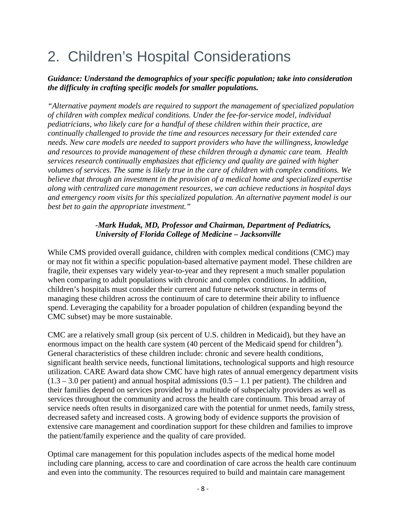# 2. Children's Hospital Considerations

#### *Guidance: Understand the demographics of your specific population; take into consideration the difficulty in crafting specific models for smaller populations.*

*"Alternative payment models are required to support the management of specialized population of children with complex medical conditions. Under the fee-for-service model, individual pediatricians, who likely care for a handful of these children within their practice, are continually challenged to provide the time and resources necessary for their extended care needs. New care models are needed to support providers who have the willingness, knowledge and resources to provide management of these children through a dynamic care team. Health services research continually emphasizes that efficiency and quality are gained with higher volumes of services. The same is likely true in the care of children with complex conditions. We believe that through an investment in the provision of a medical home and specialized expertise along with centralized care management resources, we can achieve reductions in hospital days and emergency room visits for this specialized population. An alternative payment model is our best bet to gain the appropriate investment."* 

#### *-Mark Hudak, MD, Professor and Chairman, Department of Pediatrics, University of Florida College of Medicine – Jacksonville*

While CMS provided overall guidance, children with complex medical conditions (CMC) may or may not fit within a specific population-based alternative payment model. These children are fragile, their expenses vary widely year-to-year and they represent a much smaller population when comparing to adult populations with chronic and complex conditions. In addition, children's hospitals must consider their current and future network structure in terms of managing these children across the continuum of care to determine their ability to influence spend. Leveraging the capability for a broader population of children (expanding beyond the CMC subset) may be more sustainable.

CMC are a relatively small group (six percent of U.S. children in Medicaid), but they have an enormous impact on the health care system  $(40$  $(40$  $(40$  percent of the Medicaid spend for children<sup>4</sup>). General characteristics of these children include: chronic and severe health conditions, significant health service needs, functional limitations, technological supports and high resource utilization. CARE Award data show CMC have high rates of annual emergency department visits  $(1.3 - 3.0$  per patient) and annual hospital admissions  $(0.5 - 1.1$  per patient). The children and their families depend on services provided by a multitude of subspecialty providers as well as services throughout the community and across the health care continuum. This broad array of service needs often results in disorganized care with the potential for unmet needs, family stress, decreased safety and increased costs. A growing body of evidence supports the provision of extensive care management and coordination support for these children and families to improve the patient/family experience and the quality of care provided.

Optimal care management for this population includes aspects of the medical home model including care planning, access to care and coordination of care across the health care continuum and even into the community. The resources required to build and maintain care management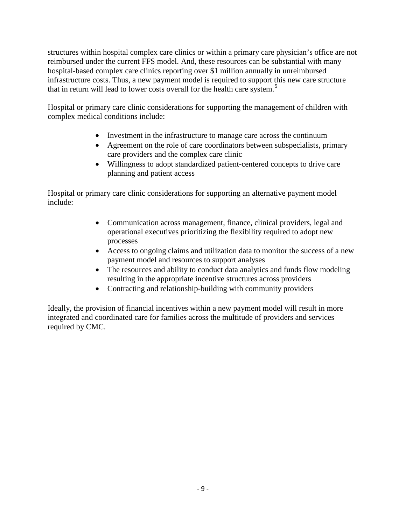structures within hospital complex care clinics or within a primary care physician's office are not reimbursed under the current FFS model. And, these resources can be substantial with many hospital-based complex care clinics reporting over \$1 million annually in unreimbursed infrastructure costs. Thus, a new payment model is required to support this new care structure that in return will lead to lower costs overall for the health care system.<sup>[5](#page-33-4)</sup>

Hospital or primary care clinic considerations for supporting the management of children with complex medical conditions include:

- Investment in the infrastructure to manage care across the continuum
- Agreement on the role of care coordinators between subspecialists, primary care providers and the complex care clinic
- Willingness to adopt standardized patient-centered concepts to drive care planning and patient access

Hospital or primary care clinic considerations for supporting an alternative payment model include:

- Communication across management, finance, clinical providers, legal and operational executives prioritizing the flexibility required to adopt new processes
- Access to ongoing claims and utilization data to monitor the success of a new payment model and resources to support analyses
- The resources and ability to conduct data analytics and funds flow modeling resulting in the appropriate incentive structures across providers
- Contracting and relationship-building with community providers

Ideally, the provision of financial incentives within a new payment model will result in more integrated and coordinated care for families across the multitude of providers and services required by CMC.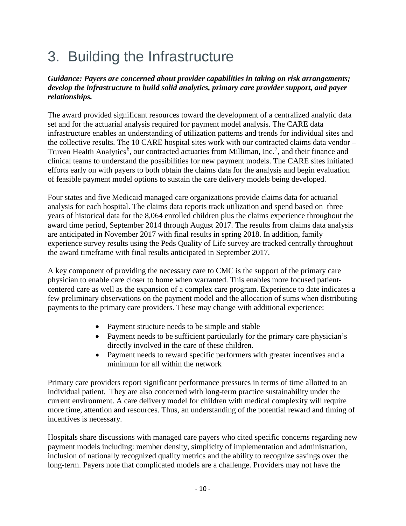# 3. Building the Infrastructure

#### *Guidance: Payers are concerned about provider capabilities in taking on risk arrangements; develop the infrastructure to build solid analytics, primary care provider support, and payer relationships.*

The award provided significant resources toward the development of a centralized analytic data set and for the actuarial analysis required for payment model analysis. The CARE data infrastructure enables an understanding of utilization patterns and trends for individual sites and the collective results. The 10 CARE hospital sites work with our contracted claims data vendor – Truven Health Analytics<sup>[6](#page-33-5)</sup>, our contracted actuaries from Milliman, Inc.<sup>[7](#page-33-6)</sup>, and their finance and clinical teams to understand the possibilities for new payment models. The CARE sites initiated efforts early on with payers to both obtain the claims data for the analysis and begin evaluation of feasible payment model options to sustain the care delivery models being developed.

Four states and five Medicaid managed care organizations provide claims data for actuarial analysis for each hospital. The claims data reports track utilization and spend based on three years of historical data for the 8,064 enrolled children plus the claims experience throughout the award time period, September 2014 through August 2017. The results from claims data analysis are anticipated in November 2017 with final results in spring 2018. In addition, family experience survey results using the Peds Quality of Life survey are tracked centrally throughout the award timeframe with final results anticipated in September 2017.

A key component of providing the necessary care to CMC is the support of the primary care physician to enable care closer to home when warranted. This enables more focused patientcentered care as well as the expansion of a complex care program. Experience to date indicates a few preliminary observations on the payment model and the allocation of sums when distributing payments to the primary care providers. These may change with additional experience:

- Payment structure needs to be simple and stable
- Payment needs to be sufficient particularly for the primary care physician's directly involved in the care of these children.
- Payment needs to reward specific performers with greater incentives and a minimum for all within the network

Primary care providers report significant performance pressures in terms of time allotted to an individual patient. They are also concerned with long-term practice sustainability under the current environment. A care delivery model for children with medical complexity will require more time, attention and resources. Thus, an understanding of the potential reward and timing of incentives is necessary.

Hospitals share discussions with managed care payers who cited specific concerns regarding new payment models including: member density, simplicity of implementation and administration, inclusion of nationally recognized quality metrics and the ability to recognize savings over the long-term. Payers note that complicated models are a challenge. Providers may not have the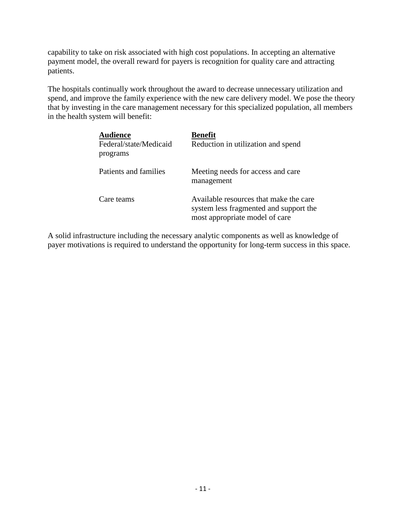capability to take on risk associated with high cost populations. In accepting an alternative payment model, the overall reward for payers is recognition for quality care and attracting patients.

The hospitals continually work throughout the award to decrease unnecessary utilization and spend, and improve the family experience with the new care delivery model. We pose the theory that by investing in the care management necessary for this specialized population, all members in the health system will benefit:

| <b>Audience</b><br>Federal/state/Medicaid<br>programs | <b>Benefit</b><br>Reduction in utilization and spend                                                               |
|-------------------------------------------------------|--------------------------------------------------------------------------------------------------------------------|
| Patients and families                                 | Meeting needs for access and care.<br>management                                                                   |
| Care teams                                            | Available resources that make the care<br>system less fragmented and support the<br>most appropriate model of care |

A solid infrastructure including the necessary analytic components as well as knowledge of payer motivations is required to understand the opportunity for long-term success in this space.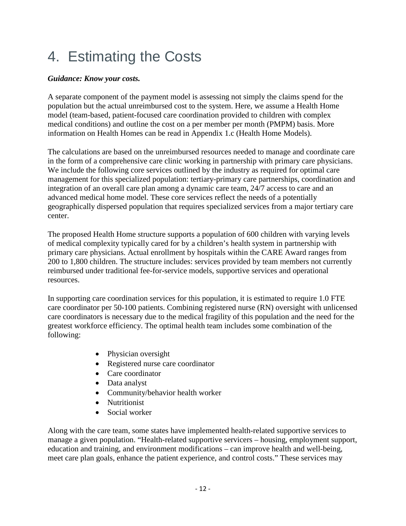# 4. Estimating the Costs

#### *Guidance: Know your costs.*

A separate component of the payment model is assessing not simply the claims spend for the population but the actual unreimbursed cost to the system. Here, we assume a Health Home model (team-based, patient-focused care coordination provided to children with complex medical conditions) and outline the cost on a per member per month (PMPM) basis. More information on Health Homes can be read in Appendix 1.c (Health Home Models).

The calculations are based on the unreimbursed resources needed to manage and coordinate care in the form of a comprehensive care clinic working in partnership with primary care physicians. We include the following core services outlined by the industry as required for optimal care management for this specialized population: tertiary-primary care partnerships, coordination and integration of an overall care plan among a dynamic care team, 24/7 access to care and an advanced medical home model. These core services reflect the needs of a potentially geographically dispersed population that requires specialized services from a major tertiary care center.

The proposed Health Home structure supports a population of 600 children with varying levels of medical complexity typically cared for by a children's health system in partnership with primary care physicians. Actual enrollment by hospitals within the CARE Award ranges from 200 to 1,800 children. The structure includes: services provided by team members not currently reimbursed under traditional fee-for-service models, supportive services and operational resources.

In supporting care coordination services for this population, it is estimated to require 1.0 FTE care coordinator per 50-100 patients. Combining registered nurse (RN) oversight with unlicensed care coordinators is necessary due to the medical fragility of this population and the need for the greatest workforce efficiency. The optimal health team includes some combination of the following:

- Physician oversight
- Registered nurse care coordinator
- Care coordinator
- Data analyst
- Community/behavior health worker
- Nutritionist
- Social worker

Along with the care team, some states have implemented health-related supportive services to manage a given population. "Health-related supportive servicers – housing, employment support, education and training, and environment modifications – can improve health and well-being, meet care plan goals, enhance the patient experience, and control costs." These services may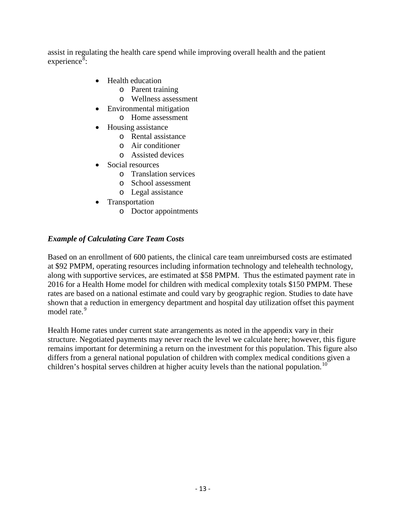assist in regulating the health care spend while improving overall health and the patient experience<sup>[8](#page-33-7)</sup>:

- Health education
	- o Parent training
	- o Wellness assessment
- Environmental mitigation
	- o Home assessment
- Housing assistance
	- o Rental assistance
	- o Air conditioner
	- o Assisted devices
- Social resources
	- o Translation services
	- o School assessment
	- o Legal assistance
- **Transportation** 
	- o Doctor appointments

#### *Example of Calculating Care Team Costs*

Based on an enrollment of 600 patients, the clinical care team unreimbursed costs are estimated at \$92 PMPM, operating resources including information technology and telehealth technology, along with supportive services, are estimated at \$58 PMPM. Thus the estimated payment rate in 2016 for a Health Home model for children with medical complexity totals \$150 PMPM. These rates are based on a national estimate and could vary by geographic region. Studies to date have shown that a reduction in emergency department and hospital day utilization offset this payment model rate.<sup>[9](#page-33-8)</sup>

Health Home rates under current state arrangements as noted in the appendix vary in their structure. Negotiated payments may never reach the level we calculate here; however, this figure remains important for determining a return on the investment for this population. This figure also differs from a general national population of children with complex medical conditions given a children's hospital serves children at higher acuity levels than the national population.<sup>[10](#page-33-9)</sup>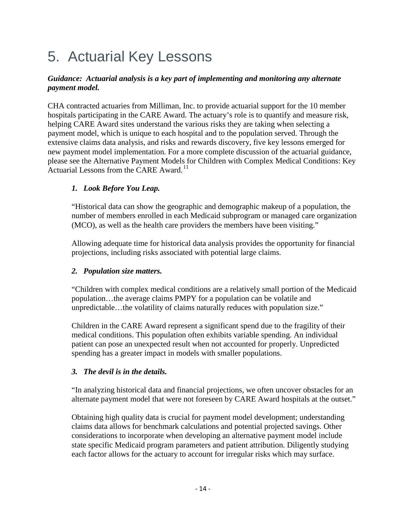# 5. Actuarial Key Lessons

#### *Guidance: Actuarial analysis is a key part of implementing and monitoring any alternate payment model.*

CHA contracted actuaries from Milliman, Inc. to provide actuarial support for the 10 member hospitals participating in the CARE Award. The actuary's role is to quantify and measure risk, helping CARE Award sites understand the various risks they are taking when selecting a payment model, which is unique to each hospital and to the population served. Through the extensive claims data analysis, and risks and rewards discovery, five key lessons emerged for new payment model implementation. For a more complete discussion of the actuarial guidance, please see the Alternative Payment Models for Children with Complex Medical Conditions: Key Actuarial Lessons from the CARE Award.<sup>[11](#page-33-10)</sup>

#### *1. Look Before You Leap.*

"Historical data can show the geographic and demographic makeup of a population, the number of members enrolled in each Medicaid subprogram or managed care organization (MCO), as well as the health care providers the members have been visiting."

Allowing adequate time for historical data analysis provides the opportunity for financial projections, including risks associated with potential large claims.

#### *2. Population size matters.*

"Children with complex medical conditions are a relatively small portion of the Medicaid population…the average claims PMPY for a population can be volatile and unpredictable…the volatility of claims naturally reduces with population size."

Children in the CARE Award represent a significant spend due to the fragility of their medical conditions. This population often exhibits variable spending. An individual patient can pose an unexpected result when not accounted for properly. Unpredicted spending has a greater impact in models with smaller populations.

#### *3. The devil is in the details.*

"In analyzing historical data and financial projections, we often uncover obstacles for an alternate payment model that were not foreseen by CARE Award hospitals at the outset."

Obtaining high quality data is crucial for payment model development; understanding claims data allows for benchmark calculations and potential projected savings. Other considerations to incorporate when developing an alternative payment model include state specific Medicaid program parameters and patient attribution. Diligently studying each factor allows for the actuary to account for irregular risks which may surface.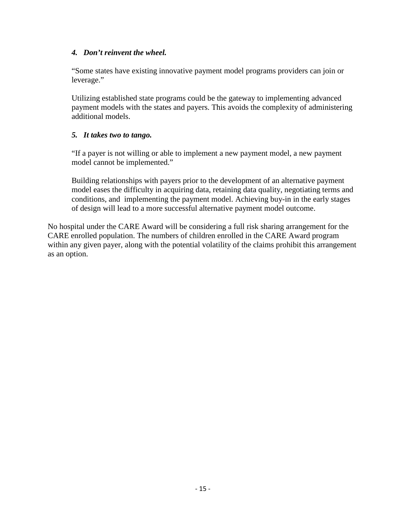#### *4. Don't reinvent the wheel.*

"Some states have existing innovative payment model programs providers can join or leverage."

Utilizing established state programs could be the gateway to implementing advanced payment models with the states and payers. This avoids the complexity of administering additional models.

#### *5. It takes two to tango.*

"If a payer is not willing or able to implement a new payment model, a new payment model cannot be implemented."

Building relationships with payers prior to the development of an alternative payment model eases the difficulty in acquiring data, retaining data quality, negotiating terms and conditions, and implementing the payment model. Achieving buy-in in the early stages of design will lead to a more successful alternative payment model outcome.

No hospital under the CARE Award will be considering a full risk sharing arrangement for the CARE enrolled population. The numbers of children enrolled in the CARE Award program within any given payer, along with the potential volatility of the claims prohibit this arrangement as an option.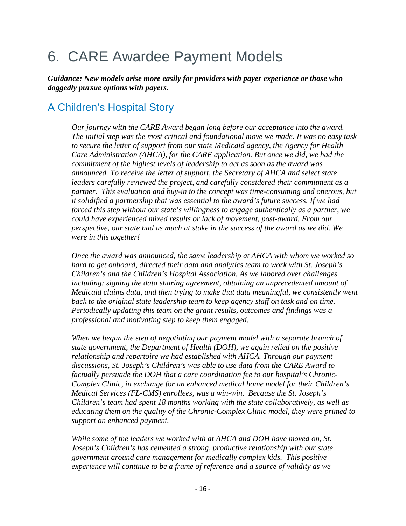# 6. CARE Awardee Payment Models

*Guidance: New models arise more easily for providers with payer experience or those who doggedly pursue options with payers.*

### A Children's Hospital Story

*Our journey with the CARE Award began long before our acceptance into the award. The initial step was the most critical and foundational move we made. It was no easy task to secure the letter of support from our state Medicaid agency, the Agency for Health Care Administration (AHCA), for the CARE application. But once we did, we had the commitment of the highest levels of leadership to act as soon as the award was announced. To receive the letter of support, the Secretary of AHCA and select state leaders carefully reviewed the project, and carefully considered their commitment as a partner. This evaluation and buy-in to the concept was time-consuming and onerous, but it solidified a partnership that was essential to the award's future success. If we had forced this step without our state's willingness to engage authentically as a partner, we could have experienced mixed results or lack of movement, post-award. From our perspective, our state had as much at stake in the success of the award as we did. We were in this together!*

*Once the award was announced, the same leadership at AHCA with whom we worked so hard to get onboard, directed their data and analytics team to work with St. Joseph's Children's and the Children's Hospital Association. As we labored over challenges including: signing the data sharing agreement, obtaining an unprecedented amount of Medicaid claims data, and then trying to make that data meaningful, we consistently went back to the original state leadership team to keep agency staff on task and on time. Periodically updating this team on the grant results, outcomes and findings was a professional and motivating step to keep them engaged.* 

*When we began the step of negotiating our payment model with a separate branch of state government, the Department of Health (DOH), we again relied on the positive relationship and repertoire we had established with AHCA. Through our payment discussions, St. Joseph's Children's was able to use data from the CARE Award to factually persuade the DOH that a care coordination fee to our hospital's Chronic-Complex Clinic, in exchange for an enhanced medical home model for their Children's Medical Services (FL-CMS) enrollees, was a win-win. Because the St. Joseph's Children's team had spent 18 months working with the state collaboratively, as well as educating them on the quality of the Chronic-Complex Clinic model, they were primed to support an enhanced payment.* 

*While some of the leaders we worked with at AHCA and DOH have moved on, St. Joseph's Children's has cemented a strong, productive relationship with our state government around care management for medically complex kids. This positive experience will continue to be a frame of reference and a source of validity as we*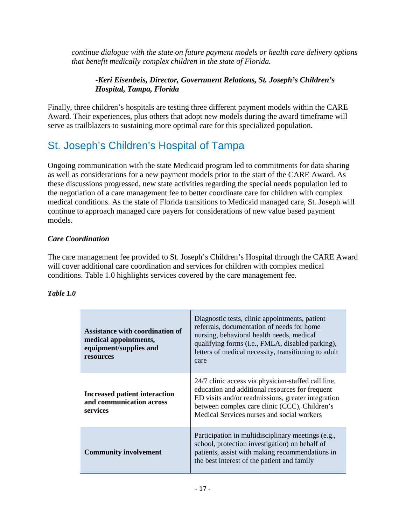*continue dialogue with the state on future payment models or health care delivery options that benefit medically complex children in the state of Florida.* 

#### -*Keri Eisenbeis, Director, Government Relations, St. Joseph's Children's Hospital, Tampa, Florida*

Finally, three children's hospitals are testing three different payment models within the CARE Award. Their experiences, plus others that adopt new models during the award timeframe will serve as trailblazers to sustaining more optimal care for this specialized population.

## St. Joseph's Children's Hospital of Tampa

Ongoing communication with the state Medicaid program led to commitments for data sharing as well as considerations for a new payment models prior to the start of the CARE Award. As these discussions progressed, new state activities regarding the special needs population led to the negotiation of a care management fee to better coordinate care for children with complex medical conditions. As the state of Florida transitions to Medicaid managed care, St. Joseph will continue to approach managed care payers for considerations of new value based payment models.

#### *Care Coordination*

The care management fee provided to St. Joseph's Children's Hospital through the CARE Award will cover additional care coordination and services for children with complex medical conditions. Table 1.0 highlights services covered by the care management fee.

#### *Table 1.0*

| Assistance with coordination of<br>medical appointments,<br>equipment/supplies and<br>resources | Diagnostic tests, clinic appointments, patient<br>referrals, documentation of needs for home<br>nursing, behavioral health needs, medical<br>qualifying forms (i.e., FMLA, disabled parking),<br>letters of medical necessity, transitioning to adult<br>care |  |
|-------------------------------------------------------------------------------------------------|---------------------------------------------------------------------------------------------------------------------------------------------------------------------------------------------------------------------------------------------------------------|--|
| <b>Increased patient interaction</b><br>and communication across<br>services                    | 24/7 clinic access via physician-staffed call line,<br>education and additional resources for frequent<br>ED visits and/or readmissions, greater integration<br>between complex care clinic (CCC), Children's<br>Medical Services nurses and social workers   |  |
| <b>Community involvement</b>                                                                    | Participation in multidisciplinary meetings (e.g.,<br>school, protection investigation) on behalf of<br>patients, assist with making recommendations in<br>the best interest of the patient and family                                                        |  |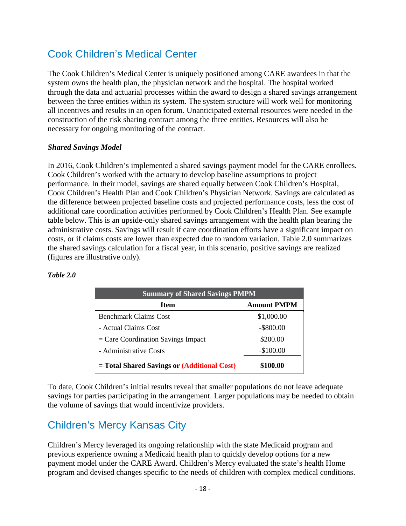### Cook Children's Medical Center

The Cook Children's Medical Center is uniquely positioned among CARE awardees in that the system owns the health plan, the physician network and the hospital. The hospital worked through the data and actuarial processes within the award to design a shared savings arrangement between the three entities within its system. The system structure will work well for monitoring all incentives and results in an open forum. Unanticipated external resources were needed in the construction of the risk sharing contract among the three entities. Resources will also be necessary for ongoing monitoring of the contract.

#### *Shared Savings Model*

In 2016, Cook Children's implemented a shared savings payment model for the CARE enrollees. Cook Children's worked with the actuary to develop baseline assumptions to project performance. In their model, savings are shared equally between Cook Children's Hospital, Cook Children's Health Plan and Cook Children's Physician Network. Savings are calculated as the difference between projected baseline costs and projected performance costs, less the cost of additional care coordination activities performed by Cook Children's Health Plan. See example table below. This is an upside-only shared savings arrangement with the health plan bearing the administrative costs. Savings will result if care coordination efforts have a significant impact on costs, or if claims costs are lower than expected due to random variation. Table 2.0 summarizes the shared savings calculation for a fiscal year, in this scenario, positive savings are realized (figures are illustrative only).

| <b>Summary of Shared Savings PMPM</b>       |                    |  |  |
|---------------------------------------------|--------------------|--|--|
| <b>Item</b>                                 | <b>Amount PMPM</b> |  |  |
| <b>Benchmark Claims Cost</b>                | \$1,000.00         |  |  |
| - Actual Claims Cost                        | $-$ \$800.00       |  |  |
| $=$ Care Coordination Savings Impact        | \$200.00           |  |  |
| - Administrative Costs                      | $-$100.00$         |  |  |
| = Total Shared Savings or (Additional Cost) | \$100.00           |  |  |

#### *Table 2.0*

To date, Cook Children's initial results reveal that smaller populations do not leave adequate savings for parties participating in the arrangement. Larger populations may be needed to obtain the volume of savings that would incentivize providers.

## Children's Mercy Kansas City

Children's Mercy leveraged its ongoing relationship with the state Medicaid program and previous experience owning a Medicaid health plan to quickly develop options for a new payment model under the CARE Award. Children's Mercy evaluated the state's health Home program and devised changes specific to the needs of children with complex medical conditions.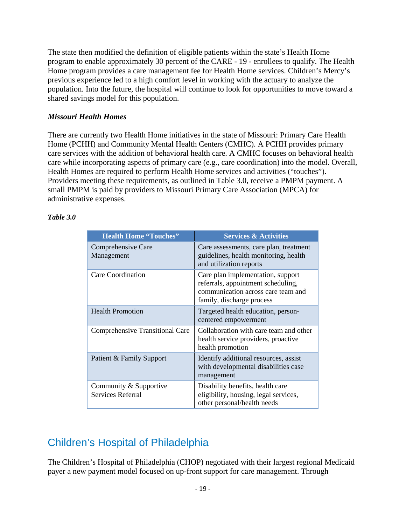The state then modified the definition of eligible patients within the state's Health Home program to enable approximately 30 percent of the CARE - 19 - enrollees to qualify. The Health Home program provides a care management fee for Health Home services. Children's Mercy's previous experience led to a high comfort level in working with the actuary to analyze the population. Into the future, the hospital will continue to look for opportunities to move toward a shared savings model for this population.

#### *Missouri Health Homes*

There are currently two Health Home initiatives in the state of Missouri: Primary Care Health Home (PCHH) and Community Mental Health Centers (CMHC). A PCHH provides primary care services with the addition of behavioral health care. A CMHC focuses on behavioral health care while incorporating aspects of primary care (e.g., care coordination) into the model. Overall, Health Homes are required to perform Health Home services and activities ("touches"). Providers meeting these requirements, as outlined in Table 3.0, receive a PMPM payment. A small PMPM is paid by providers to Missouri Primary Care Association (MPCA) for administrative expenses.

#### *Table 3.0*

| <b>Health Home "Touches"</b>                | <b>Services &amp; Activities</b>                                                                                                           |  |
|---------------------------------------------|--------------------------------------------------------------------------------------------------------------------------------------------|--|
| Comprehensive Care<br>Management            | Care assessments, care plan, treatment<br>guidelines, health monitoring, health<br>and utilization reports                                 |  |
| Care Coordination                           | Care plan implementation, support<br>referrals, appointment scheduling,<br>communication across care team and<br>family, discharge process |  |
| <b>Health Promotion</b>                     | Targeted health education, person-<br>centered empowerment                                                                                 |  |
| <b>Comprehensive Transitional Care</b>      | Collaboration with care team and other<br>health service providers, proactive<br>health promotion                                          |  |
| Patient & Family Support                    | Identify additional resources, assist<br>with developmental disabilities case<br>management                                                |  |
| Community & Supportive<br>Services Referral | Disability benefits, health care<br>eligibility, housing, legal services,<br>other personal/health needs                                   |  |

## Children's Hospital of Philadelphia

The Children's Hospital of Philadelphia (CHOP) negotiated with their largest regional Medicaid payer a new payment model focused on up-front support for care management. Through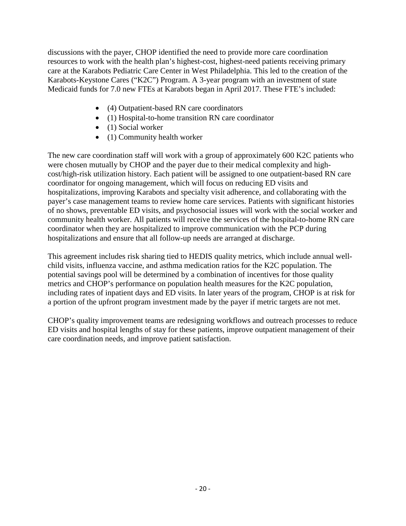discussions with the payer, CHOP identified the need to provide more care coordination resources to work with the health plan's highest-cost, highest-need patients receiving primary care at the Karabots Pediatric Care Center in West Philadelphia. This led to the creation of the Karabots-Keystone Cares ("K2C") Program. A 3-year program with an investment of state Medicaid funds for 7.0 new FTEs at Karabots began in April 2017. These FTE's included:

- (4) Outpatient-based RN care coordinators
- (1) Hospital-to-home transition RN care coordinator
- (1) Social worker
- (1) Community health worker

The new care coordination staff will work with a group of approximately 600 K2C patients who were chosen mutually by CHOP and the payer due to their medical complexity and highcost/high-risk utilization history. Each patient will be assigned to one outpatient-based RN care coordinator for ongoing management, which will focus on reducing ED visits and hospitalizations, improving Karabots and specialty visit adherence, and collaborating with the payer's case management teams to review home care services. Patients with significant histories of no shows, preventable ED visits, and psychosocial issues will work with the social worker and community health worker. All patients will receive the services of the hospital-to-home RN care coordinator when they are hospitalized to improve communication with the PCP during hospitalizations and ensure that all follow-up needs are arranged at discharge.

This agreement includes risk sharing tied to HEDIS quality metrics, which include annual wellchild visits, influenza vaccine, and asthma medication ratios for the K2C population. The potential savings pool will be determined by a combination of incentives for those quality metrics and CHOP's performance on population health measures for the K2C population, including rates of inpatient days and ED visits. In later years of the program, CHOP is at risk for a portion of the upfront program investment made by the payer if metric targets are not met.

CHOP's quality improvement teams are redesigning workflows and outreach processes to reduce ED visits and hospital lengths of stay for these patients, improve outpatient management of their care coordination needs, and improve patient satisfaction.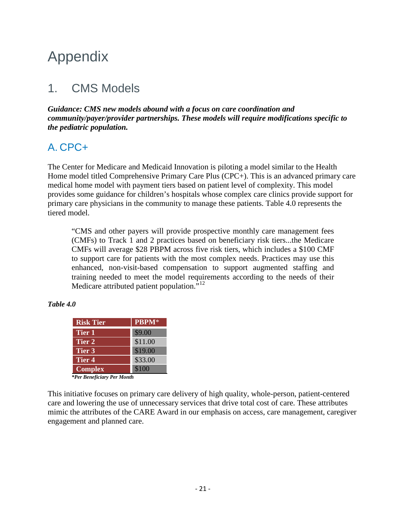## Appendix

## 1. CMS Models

*Guidance: CMS new models abound with a focus on care coordination and community/payer/provider partnerships. These models will require modifications specific to the pediatric population.*

### A. CPC+

The Center for Medicare and Medicaid Innovation is piloting a model similar to the Health Home model titled Comprehensive Primary Care Plus (CPC+). This is an advanced primary care medical home model with payment tiers based on patient level of complexity. This model provides some guidance for children's hospitals whose complex care clinics provide support for primary care physicians in the community to manage these patients. Table 4.0 represents the tiered model.

"CMS and other payers will provide prospective monthly care management fees (CMFs) to Track 1 and 2 practices based on beneficiary risk tiers...the Medicare CMFs will average \$28 PBPM across five risk tiers, which includes a \$100 CMF to support care for patients with the most complex needs. Practices may use this enhanced, non-visit-based compensation to support augmented staffing and training needed to meet the model requirements according to the needs of their Medicare attributed patient population. $^{312}$  $^{312}$  $^{312}$ 

#### *Table 4.0*

| <b>Risk Tier</b>           | <b>PBPM</b> * |  |  |
|----------------------------|---------------|--|--|
| Tier 1                     | \$9.00        |  |  |
| Tier 2                     | \$11.00       |  |  |
| Tier 3                     | \$19.00       |  |  |
| Tier <sub>4</sub>          | \$33.00       |  |  |
| <b>Complex</b>             | \$100         |  |  |
| *Per Beneficiary Per Month |               |  |  |

This initiative focuses on primary care delivery of high quality, whole-person, patient-centered care and lowering the use of unnecessary services that drive total cost of care. These attributes mimic the attributes of the CARE Award in our emphasis on access, care management, caregiver engagement and planned care.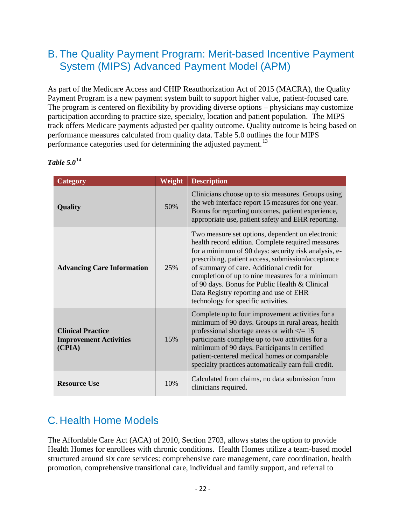### B. The Quality Payment Program: Merit-based Incentive Payment System (MIPS) Advanced Payment Model (APM)

As part of the Medicare Access and CHIP Reauthorization Act of 2015 (MACRA), the Quality Payment Program is a new payment system built to support higher value, patient-focused care. The program is centered on flexibility by providing diverse options – physicians may customize participation according to practice size, specialty, location and patient population. The MIPS track offers Medicare payments adjusted per quality outcome. Quality outcome is being based on performance measures calculated from quality data. Table 5.0 outlines the four MIPS performance categories used for determining the adjusted payment.<sup>[13](#page-33-12)</sup>

| <b>Category</b>                                                     | Weight                                                                                                                                                                                                                                                                                                                                                                                                                                                        | <b>Description</b>                                                                                                                                                                                                                                                                                                                                                  |  |
|---------------------------------------------------------------------|---------------------------------------------------------------------------------------------------------------------------------------------------------------------------------------------------------------------------------------------------------------------------------------------------------------------------------------------------------------------------------------------------------------------------------------------------------------|---------------------------------------------------------------------------------------------------------------------------------------------------------------------------------------------------------------------------------------------------------------------------------------------------------------------------------------------------------------------|--|
| Quality                                                             | 50%                                                                                                                                                                                                                                                                                                                                                                                                                                                           | Clinicians choose up to six measures. Groups using<br>the web interface report 15 measures for one year.<br>Bonus for reporting outcomes, patient experience,<br>appropriate use, patient safety and EHR reporting.                                                                                                                                                 |  |
| <b>Advancing Care Information</b>                                   | Two measure set options, dependent on electronic<br>health record edition. Complete required measures<br>for a minimum of 90 days: security risk analysis, e-<br>prescribing, patient access, submission/acceptance<br>25%<br>of summary of care. Additional credit for<br>completion of up to nine measures for a minimum<br>of 90 days. Bonus for Public Health & Clinical<br>Data Registry reporting and use of EHR<br>technology for specific activities. |                                                                                                                                                                                                                                                                                                                                                                     |  |
| <b>Clinical Practice</b><br><b>Improvement Activities</b><br>(CPIA) | 15%                                                                                                                                                                                                                                                                                                                                                                                                                                                           | Complete up to four improvement activities for a<br>minimum of 90 days. Groups in rural areas, health<br>professional shortage areas or with $\ll$ = 15<br>participants complete up to two activities for a<br>minimum of 90 days. Participants in certified<br>patient-centered medical homes or comparable<br>specialty practices automatically earn full credit. |  |
| <b>Resource Use</b>                                                 | 10%                                                                                                                                                                                                                                                                                                                                                                                                                                                           | Calculated from claims, no data submission from<br>clinicians required.                                                                                                                                                                                                                                                                                             |  |

*Table 5.0*[14](#page-33-13)

## C.Health Home Models

The Affordable Care Act (ACA) of 2010, Section 2703, allows states the option to provide Health Homes for enrollees with chronic conditions. Health Homes utilize a team-based model structured around six core services: comprehensive care management, care coordination, health promotion, comprehensive transitional care, individual and family support, and referral to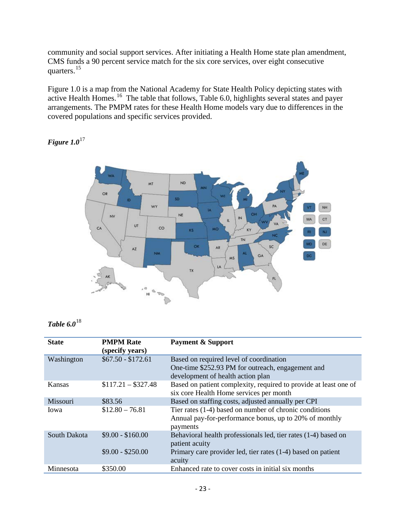community and social support services. After initiating a Health Home state plan amendment, CMS funds a 90 percent service match for the six core services, over eight consecutive quarters.[15](#page-33-14)

Figure 1.0 is a map from the National Academy for State Health Policy depicting states with active Health Homes.<sup>[16](#page-33-15)</sup> The table that follows, Table 6.0, highlights several states and payer arrangements. The PMPM rates for these Health Home models vary due to differences in the covered populations and specific services provided.

*Figure 1.0*[17](#page-33-16)



*Table 6.0*[18](#page-33-17)

| <b>State</b> | <b>PMPM Rate</b><br>(specify years) | <b>Payment &amp; Support</b>                                     |
|--------------|-------------------------------------|------------------------------------------------------------------|
| Washington   | $$67.50 - $172.61$                  | Based on required level of coordination                          |
|              |                                     | One-time \$252.93 PM for outreach, engagement and                |
|              |                                     | development of health action plan                                |
| Kansas       | $$117.21 - $327.48$                 | Based on patient complexity, required to provide at least one of |
|              |                                     | six core Health Home services per month                          |
| Missouri     | \$83.56                             | Based on staffing costs, adjusted annually per CPI               |
| Iowa         | $$12.80 - 76.81$                    | Tier rates (1-4) based on number of chronic conditions           |
|              |                                     | Annual pay-for-performance bonus, up to 20% of monthly           |
|              |                                     | payments                                                         |
| South Dakota | $$9.00 - $160.00$                   | Behavioral health professionals led, tier rates (1-4) based on   |
|              |                                     | patient acuity                                                   |
|              | $$9.00 - $250.00$                   | Primary care provider led, tier rates (1-4) based on patient     |
|              |                                     | acuity                                                           |
| Minnesota    | \$350.00                            | Enhanced rate to cover costs in initial six months               |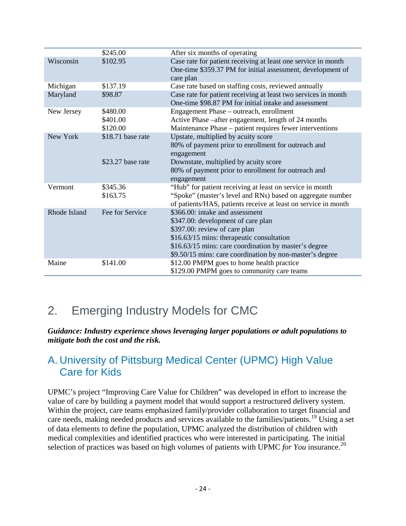|              | \$245.00          | After six months of operating                                  |
|--------------|-------------------|----------------------------------------------------------------|
| Wisconsin    | \$102.95          | Case rate for patient receiving at least one service in month  |
|              |                   | One-time \$359.37 PM for initial assessment, development of    |
|              |                   | care plan                                                      |
| Michigan     | \$137.19          | Case rate based on staffing costs, reviewed annually           |
| Maryland     | \$98.87           | Case rate for patient receiving at least two services in month |
|              |                   | One-time \$98.87 PM for initial intake and assessment          |
| New Jersey   | \$480.00          | Engagement Phase – outreach, enrollment                        |
|              | \$401.00          | Active Phase –after engagement, length of 24 months            |
|              | \$120.00          | Maintenance Phase – patient requires fewer interventions       |
| New York     | \$18.71 base rate | Upstate, multiplied by acuity score                            |
|              |                   | 80% of payment prior to enrollment for outreach and            |
|              |                   | engagement                                                     |
|              | \$23.27 base rate | Downstate, multiplied by acuity score                          |
|              |                   | 80% of payment prior to enrollment for outreach and            |
|              |                   | engagement                                                     |
| Vermont      | \$345.36          | "Hub" for patient receiving at least on service in month       |
|              | \$163.75          | "Spoke" (master's level and RNs) based on aggregate number     |
|              |                   | of patients/HAS, patients receive at least on service in month |
| Rhode Island | Fee for Service   | \$366.00: intake and assessment                                |
|              |                   | \$347.00: development of care plan                             |
|              |                   | \$397.00: review of care plan                                  |
|              |                   | \$16.63/15 mins: therapeutic consultation                      |
|              |                   | \$16.63/15 mins: care coordination by master's degree          |
|              |                   | \$9.50/15 mins: care coordination by non-master's degree       |
| Maine        | \$141.00          | \$12.00 PMPM goes to home health practice                      |
|              |                   | \$129.00 PMPM goes to community care teams                     |

## 2. Emerging Industry Models for CMC

*Guidance: Industry experience shows leveraging larger populations or adult populations to mitigate both the cost and the risk.* 

### A. University of Pittsburg Medical Center (UPMC) High Value Care for Kids

UPMC's project "Improving Care Value for Children" was developed in effort to increase the value of care by building a payment model that would support a restructured delivery system. Within the project, care teams emphasized family/provider collaboration to target financial and care needs, making needed products and services available to the families/patients.<sup>[19](#page-33-18)</sup> Using a set of data elements to define the population, UPMC analyzed the distribution of children with medical complexities and identified practices who were interested in participating. The initial selection of practices was based on high volumes of patients with UPMC *for You* insurance. [20](#page-33-19)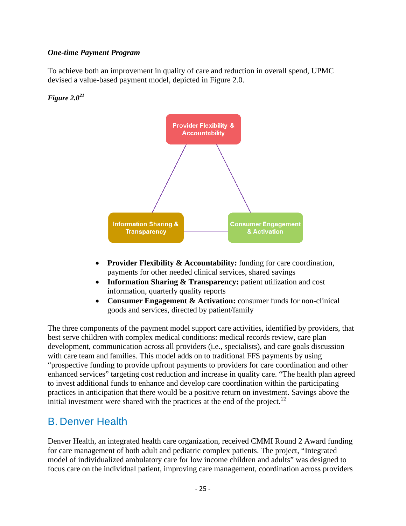#### *One-time Payment Program*

To achieve both an improvement in quality of care and reduction in overall spend, UPMC devised a value-based payment model, depicted in Figure 2.0.

#### *Figure 2.0[21](#page-33-20)*



- **Provider Flexibility & Accountability:** funding for care coordination, payments for other needed clinical services, shared savings
- **Information Sharing & Transparency:** patient utilization and cost information, quarterly quality reports
- **Consumer Engagement & Activation:** consumer funds for non-clinical goods and services, directed by patient/family

The three components of the payment model support care activities, identified by providers, that best serve children with complex medical conditions: medical records review, care plan development, communication across all providers (i.e., specialists), and care goals discussion with care team and families. This model adds on to traditional FFS payments by using "prospective funding to provide upfront payments to providers for care coordination and other enhanced services" targeting cost reduction and increase in quality care. "The health plan agreed to invest additional funds to enhance and develop care coordination within the participating practices in anticipation that there would be a positive return on investment. Savings above the initial investment were shared with the practices at the end of the project. $22$ 

### B. Denver Health

Denver Health, an integrated health care organization, received CMMI Round 2 Award funding for care management of both adult and pediatric complex patients. The project, "Integrated model of individualized ambulatory care for low income children and adults" was designed to focus care on the individual patient, improving care management, coordination across providers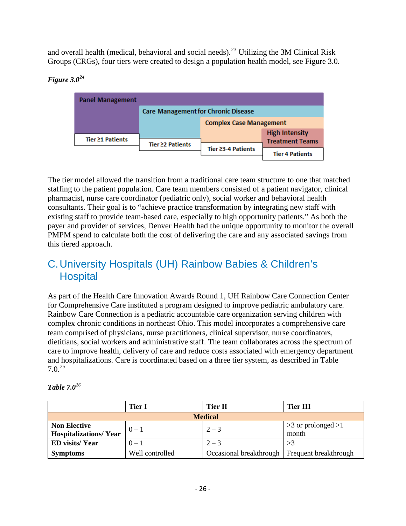and overall health (medical, behavioral and social needs).<sup>[23](#page-33-22)</sup> Utilizing the 3M Clinical Risk Groups (CRGs), four tiers were created to design a population health model, see Figure 3.0.

#### **Panel Management Care Management for Chronic Disease Complex Case Management High Intensity** Tier ≥1 Patients **Treatment Teams** Tier ≥2 Patients Tier ≥3-4 Patients **Tier 4 Patients**

#### *Figure 3.0[24](#page-33-23)*

The tier model allowed the transition from a traditional care team structure to one that matched staffing to the patient population. Care team members consisted of a patient navigator, clinical pharmacist, nurse care coordinator (pediatric only), social worker and behavioral health consultants. Their goal is to "achieve practice transformation by integrating new staff with existing staff to provide team-based care, especially to high opportunity patients." As both the payer and provider of services, Denver Health had the unique opportunity to monitor the overall PMPM spend to calculate both the cost of delivering the care and any associated savings from this tiered approach.

### C.University Hospitals (UH) Rainbow Babies & Children's **Hospital**

As part of the Health Care Innovation Awards Round 1, UH Rainbow Care Connection Center for Comprehensive Care instituted a program designed to improve pediatric ambulatory care. Rainbow Care Connection is a pediatric accountable care organization serving children with complex chronic conditions in northeast Ohio. This model incorporates a comprehensive care team comprised of physicians, nurse practitioners, clinical supervisor, nurse coordinators, dietitians, social workers and administrative staff. The team collaborates across the spectrum of care to improve health, delivery of care and reduce costs associated with emergency department and hospitalizations. Care is coordinated based on a three tier system, as described in Table 7.0. [25](#page-33-24)

|                                                     | <b>Tier I</b>   | Tier II                                         | <b>Tier III</b>                 |  |
|-----------------------------------------------------|-----------------|-------------------------------------------------|---------------------------------|--|
| <b>Medical</b>                                      |                 |                                                 |                                 |  |
| <b>Non Elective</b><br><b>Hospitalizations/Year</b> | $0 - 1$         | $2 - 3$                                         | $>3$ or prolonged $>1$<br>month |  |
| <b>ED</b> visits/Year                               | $0 - 1$         | $2 - 3$                                         |                                 |  |
| <b>Symptoms</b>                                     | Well controlled | Occasional breakthrough   Frequent breakthrough |                                 |  |

| Table $7.0^{26}$ |
|------------------|
|                  |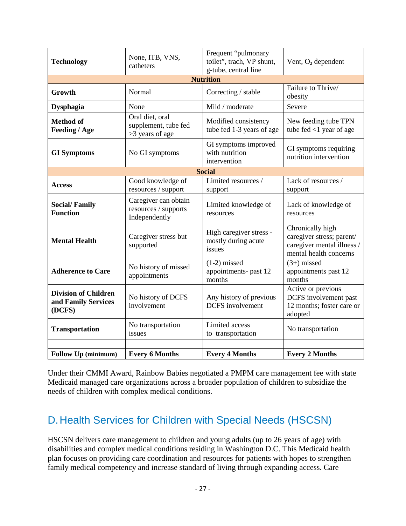| <b>Technology</b>                                            | None, ITB, VNS,<br>catheters                                  | Frequent "pulmonary<br>toilet", trach, VP shunt,<br>g-tube, central line | Vent, $O_2$ dependent                                                                                 |  |  |  |
|--------------------------------------------------------------|---------------------------------------------------------------|--------------------------------------------------------------------------|-------------------------------------------------------------------------------------------------------|--|--|--|
| <b>Nutrition</b>                                             |                                                               |                                                                          |                                                                                                       |  |  |  |
| Growth                                                       | Normal                                                        | Correcting / stable                                                      | Failure to Thrive/<br>obesity                                                                         |  |  |  |
| <b>Dysphagia</b>                                             | None                                                          | Mild / moderate                                                          | Severe                                                                                                |  |  |  |
| <b>Method of</b><br>Feeding / Age                            | Oral diet, oral<br>supplement, tube fed<br>>3 years of age    | Modified consistency<br>tube fed 1-3 years of age                        | New feeding tube TPN<br>tube fed $<$ 1 year of age                                                    |  |  |  |
| <b>GI</b> Symptoms                                           | No GI symptoms                                                | GI symptoms improved<br>with nutrition<br>intervention                   | GI symptoms requiring<br>nutrition intervention                                                       |  |  |  |
|                                                              |                                                               | <b>Social</b>                                                            |                                                                                                       |  |  |  |
| <b>Access</b>                                                | Good knowledge of<br>resources / support                      | Limited resources /<br>support                                           | Lack of resources /<br>support                                                                        |  |  |  |
| <b>Social/Family</b><br><b>Function</b>                      | Caregiver can obtain<br>resources / supports<br>Independently | Limited knowledge of<br>resources                                        | Lack of knowledge of<br>resources                                                                     |  |  |  |
| <b>Mental Health</b>                                         | Caregiver stress but<br>supported                             | High caregiver stress -<br>mostly during acute<br>issues                 | Chronically high<br>caregiver stress; parent/<br>caregiver mental illness /<br>mental health concerns |  |  |  |
| <b>Adherence to Care</b>                                     | No history of missed<br>appointments                          | $(1-2)$ missed<br>appointments- past 12<br>months                        | $(3+)$ missed<br>appointments past 12<br>months                                                       |  |  |  |
| <b>Division of Children</b><br>and Family Services<br>(DCFS) | No history of DCFS<br>involvement                             | Any history of previous<br><b>DCFS</b> involvement                       | Active or previous<br>DCFS involvement past<br>12 months; foster care or<br>adopted                   |  |  |  |
| <b>Transportation</b>                                        | No transportation<br>issues                                   | Limited access<br>to transportation                                      | No transportation                                                                                     |  |  |  |
| <b>Follow Up (minimum)</b>                                   | <b>Every 6 Months</b>                                         | <b>Every 4 Months</b>                                                    | <b>Every 2 Months</b>                                                                                 |  |  |  |

Under their CMMI Award, Rainbow Babies negotiated a PMPM care management fee with state Medicaid managed care organizations across a broader population of children to subsidize the needs of children with complex medical conditions.

## D.Health Services for Children with Special Needs (HSCSN)

HSCSN delivers care management to children and young adults (up to 26 years of age) with disabilities and complex medical conditions residing in Washington D.C. This Medicaid health plan focuses on providing care coordination and resources for patients with hopes to strengthen family medical competency and increase standard of living through expanding access. Care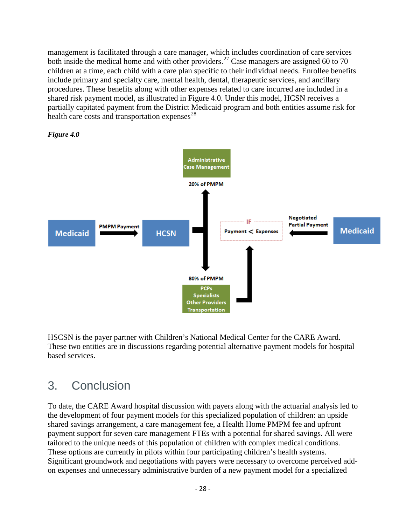management is facilitated through a care manager, which includes coordination of care services both inside the medical home and with other providers.<sup>[27](#page-33-26)</sup> Case managers are assigned 60 to 70 children at a time, each child with a care plan specific to their individual needs. Enrollee benefits include primary and specialty care, mental health, dental, therapeutic services, and ancillary procedures. These benefits along with other expenses related to care incurred are included in a shared risk payment model, as illustrated in Figure 4.0. Under this model, HCSN receives a partially capitated payment from the District Medicaid program and both entities assume risk for health care costs and transportation expenses $^{28}$  $^{28}$  $^{28}$ 





HSCSN is the payer partner with Children's National Medical Center for the CARE Award. These two entities are in discussions regarding potential alternative payment models for hospital based services.

## 3. Conclusion

To date, the CARE Award hospital discussion with payers along with the actuarial analysis led to the development of four payment models for this specialized population of children: an upside shared savings arrangement, a care management fee, a Health Home PMPM fee and upfront payment support for seven care management FTEs with a potential for shared savings. All were tailored to the unique needs of this population of children with complex medical conditions. These options are currently in pilots within four participating children's health systems. Significant groundwork and negotiations with payers were necessary to overcome perceived addon expenses and unnecessary administrative burden of a new payment model for a specialized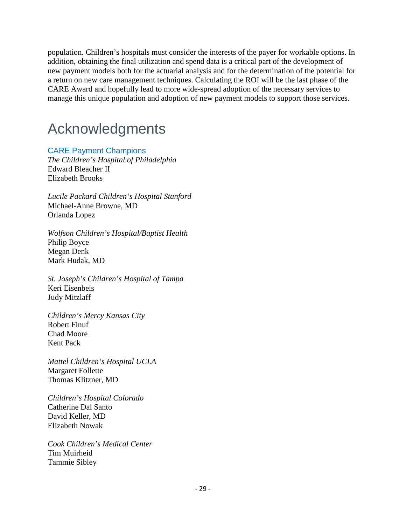population. Children's hospitals must consider the interests of the payer for workable options. In addition, obtaining the final utilization and spend data is a critical part of the development of new payment models both for the actuarial analysis and for the determination of the potential for a return on new care management techniques. Calculating the ROI will be the last phase of the CARE Award and hopefully lead to more wide-spread adoption of the necessary services to manage this unique population and adoption of new payment models to support those services.

## Acknowledgments

#### CARE Payment Champions

*The Children's Hospital of Philadelphia* Edward Bleacher II Elizabeth Brooks

*Lucile Packard Children's Hospital Stanford* Michael-Anne Browne, MD Orlanda Lopez

*Wolfson Children's Hospital/Baptist Health* Philip Boyce Megan Denk Mark Hudak, MD

*St. Joseph's Children's Hospital of Tampa* Keri Eisenbeis Judy Mitzlaff

*Children's Mercy Kansas City* Robert Finuf Chad Moore Kent Pack

*Mattel Children's Hospital UCLA* Margaret Follette Thomas Klitzner, MD

*Children's Hospital Colorado* Catherine Dal Santo David Keller, MD Elizabeth Nowak

*Cook Children's Medical Center* Tim Muirheid Tammie Sibley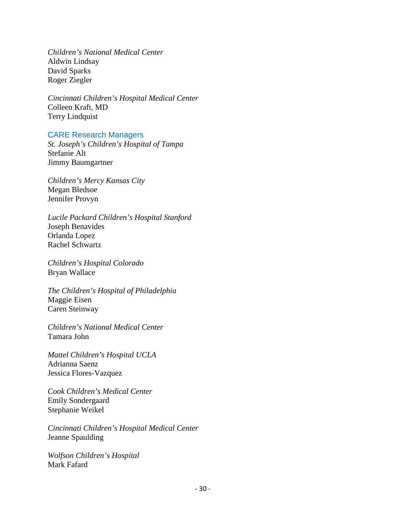*Children's National Medical Center* Aldwin Lindsay David Sparks Roger Ziegler

*Cincinnati Children's Hospital Medical Center* Colleen Kraft, MD Terry Lindquist

#### CARE Research Managers

*St. Joseph's Children's Hospital of Tampa* Stefanie Alt Jimmy Baumgartner

*Children's Mercy Kansas City* Megan Bledsoe Jennifer Provyn

*Lucile Packard Children's Hospital Stanford* Joseph Benavides Orlanda Lopez Rachel Schwartz

*Children's Hospital Colorado* Bryan Wallace

*The Children's Hospital of Philadelphia* Maggie Eisen Caren Steinway

*Children's National Medical Center* Tamara John

*Mattel Children's Hospital UCLA* Adrianna Saenz Jessica Flores-Vazquez

*Cook Children's Medical Center* Emily Sondergaard Stephanie Weikel

*Cincinnati Children's Hospital Medical Center* Jeanne Spaulding

*Wolfson Children's Hospital* Mark Fafard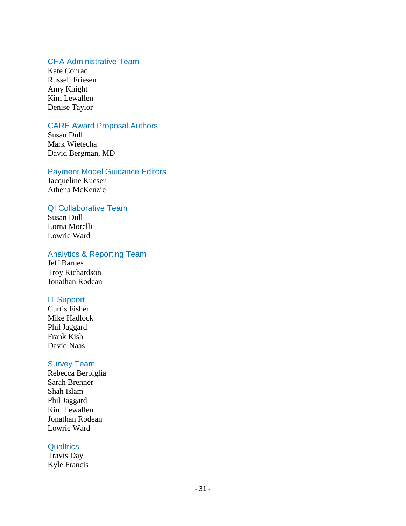#### CHA Administrative Team

Kate Conrad Russell Friesen Amy Knight Kim Lewallen Denise Taylor

#### CARE Award Proposal Authors

Susan Dull Mark Wietecha David Bergman, MD

#### Payment Model Guidance Editors

Jacqueline Kueser Athena McKenzie

#### QI Collaborative Team

Susan Dull Lorna Morelli Lowrie Ward

#### Analytics & Reporting Team

Jeff Barnes Troy Richardson Jonathan Rodean

#### IT Support

Curtis Fisher Mike Hadlock Phil Jaggard Frank Kish David Naas

#### Survey Team

Rebecca Berbiglia Sarah Brenner Shah Islam Phil Jaggard Kim Lewallen Jonathan Rodean Lowrie Ward

#### **Qualtrics**

Travis Day Kyle Francis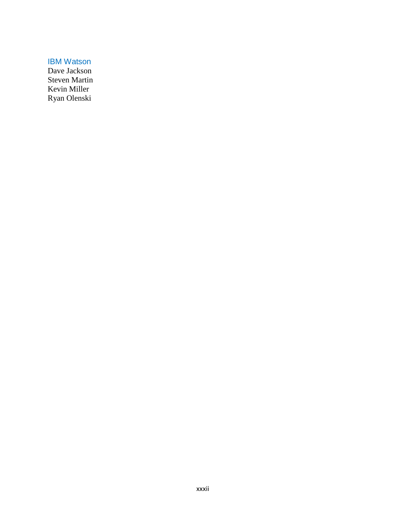IBM Watson

Dave Jackson Steven Martin Kevin Miller Ryan Olenski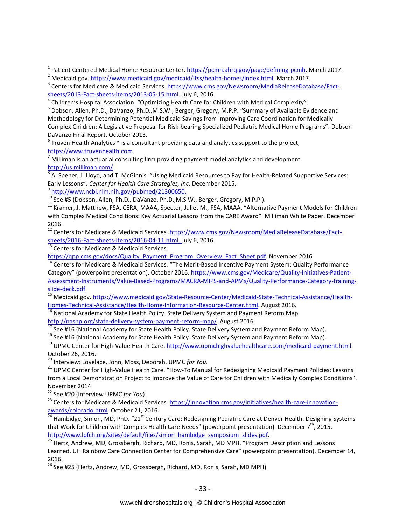<sup>6</sup> Truven Health Analytics™ is a consultant providing data and analytics support to the project,<br>https://www.truvenhealth.com.

Milliman is an actuarial consulting firm providing payment model analytics and development.

http://us.milliman.com/.<br><sup>8</sup> A. Spener, J. Lloyd, and T. McGinnis. "Using Medicaid Resources to Pay for Health-Related Supportive Services: Early Lessons". Center for Health Care Strategies, Inc. December 2015.<br>
<sup>9</sup> [http://www.ncbi.nlm.nih.gov/pubmed/21300650.](http://www.ncbi.nlm.nih.gov/pubmed/21300650)<br>
<sup>10</sup> See #5 (Dobson, Allen, Ph.D., DaVanzo, Ph.D.,M.S.W., Berger, Gregory, M.P.P.).<br>
<sup>11</sup> Kramer, J.

with Complex Medical Conditions: Key Actuarial Lessons from the CARE Award". Milliman White Paper. December 2016.

<sup>12</sup> Centers for Medicare & Medicaid Services. [https://www.cms.gov/Newsroom/MediaReleaseDatabase/Fact](https://www.cms.gov/Newsroom/MediaReleaseDatabase/Fact-sheets/2016-Fact-sheets-items/2016-04-11.html)[sheets/2016-Fact-sheets-items/2016-04-11.html.](https://www.cms.gov/Newsroom/MediaReleaseDatabase/Fact-sheets/2016-Fact-sheets-items/2016-04-11.html) July 6, 2016.<br><sup>[13](https://www.cms.gov/Newsroom/MediaReleaseDatabase/Fact-sheets/2016-Fact-sheets-items/2016-04-11.html)</sup> Centers for Medicare & Medicaid Services.<br>https://gpp.cms.gov/docs/Quality Payment Program Overview Fact Sheet.pdf. November 2016.

 $\frac{14}{14}$  $\frac{14}{14}$  $\frac{14}{14}$  Centers for Medicare & Medicaid Services. "The Merit-Based Incentive Payment System: Quality Performance Category" (powerpoint presentation). October 2016. [https://www.cms.gov/Medicare/Quality-Initiatives-Patient-](https://www.cms.gov/Medicare/Quality-Initiatives-Patient-Assessment-Instruments/Value-Based-Programs/MACRA-MIPS-and-APMs/Quality-Performance-Category-training-slide-deck.pdf)Assessment-Instruments/Value-Based-Programs/MACRA-MIPS-and-APMs/Quality-Performance-Category-training-<br>slide-deck.pdf

15 Medicaid.gov. https://www.medicaid.gov/State-Resource-Center/Medicaid-State-Technical-Assistance/Health-<br>Homes-Technical-Assistance/Health-Home-Information-Resource-Center.html. August 2016.

<sup>16</sup> National Academy for State Health Policy. State Delivery System and Payment Reform Map.

[http://nashp.org/state-delivery-system-payment-reform-map/.](http://nashp.org/state-delivery-system-payment-reform-map/) August 2016.<br>
<sup>17</sup> See #16 (National Academy for State Health Policy. State Delivery System and Payment Reform Map).<br>
<sup>18</sup> See #16 (National Academy for State Hea

October 26, 2016.<br><sup>20</sup> Interview: Lovelace, John, Moss, Deborah. UPMC for You.

<sup>21</sup> UPMC Center for High-Value Health Care. "How-To Manual for Redesigning Medicaid Payment Policies: Lessons from a Local Demonstration Project to Improve the Value of Care for Children with Medically Complex Conditions". November 2014

<sup>22</sup> See #20 (Interview UPMC *for You*).<br><sup>23</sup> Centers for Medicare & Medicaid Services. [https://innovation.cms.gov/initiatives/health-care-innovation](https://innovation.cms.gov/initiatives/health-care-innovation-awards/colorado.html)[awards/colorado.html.](https://innovation.cms.gov/initiatives/health-care-innovation-awards/colorado.html) October 21, 2016.<br><sup>[24](https://innovation.cms.gov/initiatives/health-care-innovation-awards/colorado.html)</sup> Hambidge, Simon, MD, PhD. "21<sup>st</sup> Century Care: Redesigning Pediatric Care at Denver Health. Designing Systems

that Work for Children with Complex Health Care Needs" (powerpoint presentation). December 7<sup>th</sup>, 2015.<br>http://www.lpfch.org/sites/default/files/simon hambidge symposium slides.pdf.

<sup>25</sup> Hertz, Andrew, MD, Grossbergh, Richard, MD, Ronis, Sarah, MD MPH. "Program Description and Lessons Learned. UH Rainbow Care Connection Center for Comprehensive Care" (powerpoint presentation). December 14, 2016.

 $26$  See #25 (Hertz, Andrew, MD, Grossbergh, Richard, MD, Ronis, Sarah, MD MPH).

<sup>&</sup>lt;sup>1</sup> Patient Centered Medical Home Resource Center. https://pcmh.ahrq.gov/page/defining-pcmh</u>. March 2017.<br><sup>2</sup> Medicaid.gov. [https://www.medicaid.gov/medicaid/ltss/health-homes/index.html.](https://www.medicaid.gov/medicaid/ltss/health-homes/index.html) March 2017.<br><sup>3</sup> Centers for Medica

[sheets/2013-Fact-sheets-items/2013-05-15.html.](https://www.cms.gov/Newsroom/MediaReleaseDatabase/Fact-sheets/2013-Fact-sheets-items/2013-05-15.html) July 6, 2016.<br><sup>[4](https://www.cms.gov/Newsroom/MediaReleaseDatabase/Fact-sheets/2013-Fact-sheets-items/2013-05-15.html)</sup> Children's Hospital Association. "Optimizing Health Care for Children with Medical Complexity".

<sup>5</sup> Dobson, Allen, Ph.D., DaVanzo, Ph.D.,M.S.W., Berger, Gregory, M.P.P. "Summary of Available Evidence and Methodology for Determining Potential Medicaid Savings from Improving Care Coordination for Medically Complex Children: A Legislative Proposal for Risk-bearing Specialized Pediatric Medical Home Programs". Dobson DaVanzo Final Report. October 2013.